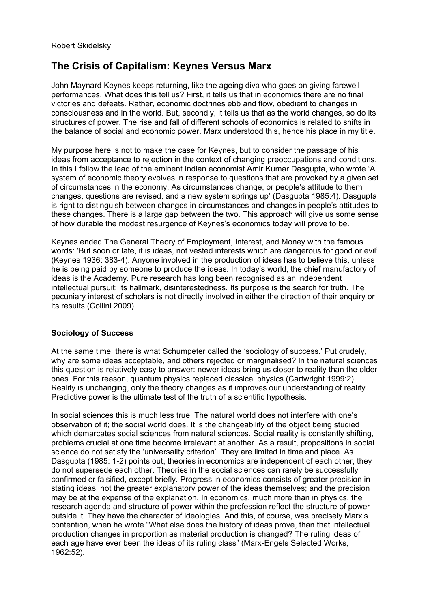# **The Crisis of Capitalism: Keynes Versus Marx**

John Maynard Keynes keeps returning, like the ageing diva who goes on giving farewell performances. What does this tell us? First, it tells us that in economics there are no final victories and defeats. Rather, economic doctrines ebb and flow, obedient to changes in consciousness and in the world. But, secondly, it tells us that as the world changes, so do its structures of power. The rise and fall of different schools of economics is related to shifts in the balance of social and economic power. Marx understood this, hence his place in my title.

My purpose here is not to make the case for Keynes, but to consider the passage of his ideas from acceptance to rejection in the context of changing preoccupations and conditions. In this I follow the lead of the eminent Indian economist Amir Kumar Dasgupta, who wrote 'A system of economic theory evolves in response to questions that are provoked by a given set of circumstances in the economy. As circumstances change, or people's attitude to them changes, questions are revised, and a new system springs up' (Dasgupta 1985:4). Dasgupta is right to distinguish between changes in circumstances and changes in people's attitudes to these changes. There is a large gap between the two. This approach will give us some sense of how durable the modest resurgence of Keynes's economics today will prove to be.

Keynes ended The General Theory of Employment, Interest, and Money with the famous words: 'But soon or late, it is ideas, not vested interests which are dangerous for good or evil' (Keynes 1936: 383-4). Anyone involved in the production of ideas has to believe this, unless he is being paid by someone to produce the ideas. In today's world, the chief manufactory of ideas is the Academy. Pure research has long been recognised as an independent intellectual pursuit; its hallmark, disinterestedness. Its purpose is the search for truth. The pecuniary interest of scholars is not directly involved in either the direction of their enquiry or its results (Collini 2009).

# **Sociology of Success**

At the same time, there is what Schumpeter called the 'sociology of success.' Put crudely, why are some ideas acceptable, and others rejected or marginalised? In the natural sciences this question is relatively easy to answer: newer ideas bring us closer to reality than the older ones. For this reason, quantum physics replaced classical physics (Cartwright 1999:2). Reality is unchanging, only the theory changes as it improves our understanding of reality. Predictive power is the ultimate test of the truth of a scientific hypothesis.

In social sciences this is much less true. The natural world does not interfere with one's observation of it; the social world does. It is the changeability of the object being studied which demarcates social sciences from natural sciences. Social reality is constantly shifting, problems crucial at one time become irrelevant at another. As a result, propositions in social science do not satisfy the 'universality criterion'. They are limited in time and place. As Dasgupta (1985: 1-2) points out, theories in economics are independent of each other, they do not supersede each other. Theories in the social sciences can rarely be successfully confirmed or falsified, except briefly. Progress in economics consists of greater precision in stating ideas, not the greater explanatory power of the ideas themselves; and the precision may be at the expense of the explanation. In economics, much more than in physics, the research agenda and structure of power within the profession reflect the structure of power outside it. They have the character of ideologies. And this, of course, was precisely Marx's contention, when he wrote "What else does the history of ideas prove, than that intellectual production changes in proportion as material production is changed? The ruling ideas of each age have ever been the ideas of its ruling class" (Marx-Engels Selected Works, 1962:52).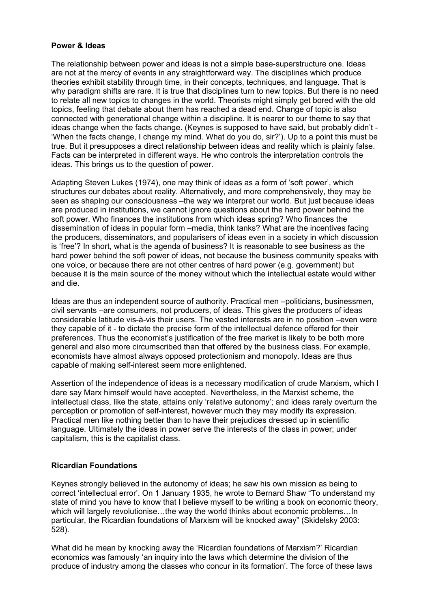#### **Power & Ideas**

The relationship between power and ideas is not a simple base-superstructure one. Ideas are not at the mercy of events in any straightforward way. The disciplines which produce theories exhibit stability through time, in their concepts, techniques, and language. That is why paradigm shifts are rare. It is true that disciplines turn to new topics. But there is no need to relate all new topics to changes in the world. Theorists might simply get bored with the old topics, feeling that debate about them has reached a dead end. Change of topic is also connected with generational change within a discipline. It is nearer to our theme to say that ideas change when the facts change. (Keynes is supposed to have said, but probably didn't - 'When the facts change, I change my mind. What do you do, sir?'). Up to a point this must be true. But it presupposes a direct relationship between ideas and reality which is plainly false. Facts can be interpreted in different ways. He who controls the interpretation controls the ideas. This brings us to the question of power.

Adapting Steven Lukes (1974), one may think of ideas as a form of 'soft power', which structures our debates about reality. Alternatively, and more comprehensively, they may be seen as shaping our consciousness –the way we interpret our world. But just because ideas are produced in institutions, we cannot ignore questions about the hard power behind the soft power. Who finances the institutions from which ideas spring? Who finances the dissemination of ideas in popular form –media, think tanks? What are the incentives facing the producers, disseminators, and popularisers of ideas even in a society in which discussion is 'free'? In short, what is the agenda of business? It is reasonable to see business as the hard power behind the soft power of ideas, not because the business community speaks with one voice, or because there are not other centres of hard power (e.g. government) but because it is the main source of the money without which the intellectual estate would wither and die.

Ideas are thus an independent source of authority. Practical men –politicians, businessmen, civil servants –are consumers, not producers, of ideas. This gives the producers of ideas considerable latitude vis-à-vis their users. The vested interests are in no position –even were they capable of it - to dictate the precise form of the intellectual defence offered for their preferences. Thus the economist's justification of the free market is likely to be both more general and also more circumscribed than that offered by the business class. For example, economists have almost always opposed protectionism and monopoly. Ideas are thus capable of making self-interest seem more enlightened.

Assertion of the independence of ideas is a necessary modification of crude Marxism, which I dare say Marx himself would have accepted. Nevertheless, in the Marxist scheme, the intellectual class, like the state, attains only 'relative autonomy'; and ideas rarely overturn the perception or promotion of self-interest, however much they may modify its expression. Practical men like nothing better than to have their prejudices dressed up in scientific language. Ultimately the ideas in power serve the interests of the class in power; under capitalism, this is the capitalist class.

## **Ricardian Foundations**

Keynes strongly believed in the autonomy of ideas; he saw his own mission as being to correct 'intellectual error'. On 1 January 1935, he wrote to Bernard Shaw "To understand my state of mind you have to know that I believe myself to be writing a book on economic theory, which will largely revolutionise…the way the world thinks about economic problems…In particular, the Ricardian foundations of Marxism will be knocked away" (Skidelsky 2003: 528).

What did he mean by knocking away the 'Ricardian foundations of Marxism?' Ricardian economics was famously 'an inquiry into the laws which determine the division of the produce of industry among the classes who concur in its formation'. The force of these laws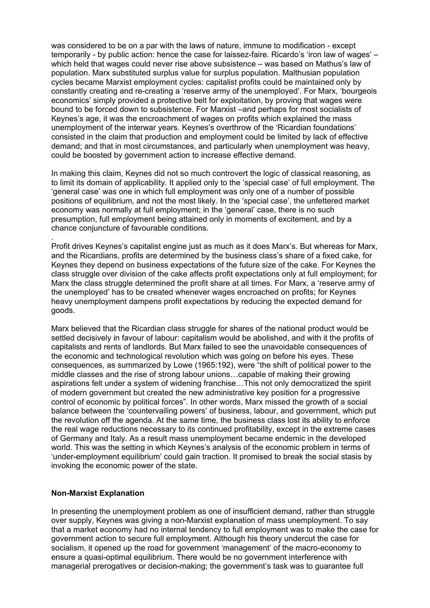was considered to be on a par with the laws of nature, immune to modification - except temporarily - by public action: hence the case for laissez-faire. Ricardo's 'iron law of wages' – which held that wages could never rise above subsistence – was based on Mathus's law of population. Marx substituted surplus value for surplus population. Malthusian population cycles became Marxist employment cycles: capitalist profits could be maintained only by constantly creating and re-creating a 'reserve army of the unemployed'. For Marx, 'bourgeois economics' simply provided a protective belt for exploitation, by proving that wages were bound to be forced down to subsistence. For Marxist –and perhaps for most socialists of Keynes's age, it was the encroachment of wages on profits which explained the mass unemployment of the interwar years. Keynes's overthrow of the 'Ricardian foundations' consisted in the claim that production and employment could be limited by lack of effective demand; and that in most circumstances, and particularly when unemployment was heavy, could be boosted by government action to increase effective demand.

In making this claim, Keynes did not so much controvert the logic of classical reasoning, as to limit its domain of applicability. It applied only to the 'special case' of full employment. The 'general case' was one in which full employment was only one of a number of possible positions of equilibrium, and not the most likely. In the 'special case', the unfettered market economy was normally at full employment; in the 'general' case, there is no such presumption, full employment being attained only in moments of excitement, and by a chance conjuncture of favourable conditions.

Profit drives Keynes's capitalist engine just as much as it does Marx's. But whereas for Marx, and the Ricardians, profits are determined by the business class's share of a fixed cake, for Keynes they depend on business expectations of the future size of the cake. For Keynes the class struggle over division of the cake affects profit expectations only at full employment; for Marx the class struggle determined the profit share at all times. For Marx, a 'reserve army of the unemployed' has to be created whenever wages encroached on profits; for Keynes heavy unemployment dampens profit expectations by reducing the expected demand for goods.

Marx believed that the Ricardian class struggle for shares of the national product would be settled decisively in favour of labour: capitalism would be abolished, and with it the profits of capitalists and rents of landlords. But Marx failed to see the unavoidable consequences of the economic and technological revolution which was going on before his eyes. These consequences, as summarized by Lowe (1965:192), were "the shift of political power to the middle classes and the rise of strong labour unions…capable of making their growing aspirations felt under a system of widening franchise…This not only democratized the spirit of modern government but created the new administrative key position for a progressive control of economic by political forces". In other words, Marx missed the growth of a social balance between the 'countervailing powers' of business, labour, and government, which put the revolution off the agenda. At the same time, the business class lost its ability to enforce the real wage reductions necessary to its continued profitability, except in the extreme cases of Germany and Italy. As a result mass unemployment became endemic in the developed world. This was the setting in which Keynes's analysis of the economic problem in terms of 'under-employment equilibrium' could gain traction. It promised to break the social stasis by invoking the economic power of the state.

#### **Non-Marxist Explanation**

.

In presenting the unemployment problem as one of insufficient demand, rather than struggle over supply, Keynes was giving a non-Marxist explanation of mass unemployment. To say that a market economy had no internal tendency to full employment was to make the case for government action to secure full employment. Although his theory undercut the case for socialism, it opened up the road for government 'management' of the macro-economy to ensure a quasi-optimal equilibrium. There would be no government interference with managerial prerogatives or decision-making; the government's task was to guarantee full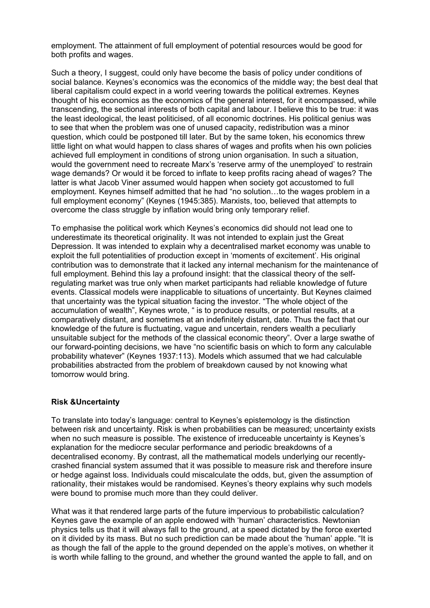employment. The attainment of full employment of potential resources would be good for both profits and wages.

Such a theory, I suggest, could only have become the basis of policy under conditions of social balance. Keynes's economics was the economics of the middle way; the best deal that liberal capitalism could expect in a world veering towards the political extremes. Keynes thought of his economics as the economics of the general interest, for it encompassed, while transcending, the sectional interests of both capital and labour. I believe this to be true: it was the least ideological, the least politicised, of all economic doctrines. His political genius was to see that when the problem was one of unused capacity, redistribution was a minor question, which could be postponed till later. But by the same token, his economics threw little light on what would happen to class shares of wages and profits when his own policies achieved full employment in conditions of strong union organisation. In such a situation, would the government need to recreate Marx's 'reserve army of the unemployed' to restrain wage demands? Or would it be forced to inflate to keep profits racing ahead of wages? The latter is what Jacob Viner assumed would happen when society got accustomed to full employment. Keynes himself admitted that he had "no solution…to the wages problem in a full employment economy" (Keynes (1945:385). Marxists, too, believed that attempts to overcome the class struggle by inflation would bring only temporary relief.

To emphasise the political work which Keynes's economics did should not lead one to underestimate its theoretical originality. It was not intended to explain just the Great Depression. It was intended to explain why a decentralised market economy was unable to exploit the full potentialities of production except in 'moments of excitement'. His original contribution was to demonstrate that it lacked any internal mechanism for the maintenance of full employment. Behind this lay a profound insight: that the classical theory of the selfregulating market was true only when market participants had reliable knowledge of future events. Classical models were inapplicable to situations of uncertainty. But Keynes claimed that uncertainty was the typical situation facing the investor. "The whole object of the accumulation of wealth", Keynes wrote, " is to produce results, or potential results, at a comparatively distant, and sometimes at an indefinitely distant, date. Thus the fact that our knowledge of the future is fluctuating, vague and uncertain, renders wealth a peculiarly unsuitable subject for the methods of the classical economic theory". Over a large swathe of our forward-pointing decisions, we have "no scientific basis on which to form any calculable probability whatever" (Keynes 1937:113). Models which assumed that we had calculable probabilities abstracted from the problem of breakdown caused by not knowing what tomorrow would bring.

## **Risk &Uncertainty**

To translate into today's language: central to Keynes's epistemology is the distinction between risk and uncertainty. Risk is when probabilities can be measured; uncertainty exists when no such measure is possible. The existence of irreduceable uncertainty is Keynes's explanation for the mediocre secular performance and periodic breakdowns of a decentralised economy. By contrast, all the mathematical models underlying our recentlycrashed financial system assumed that it was possible to measure risk and therefore insure or hedge against loss. Individuals could miscalculate the odds, but, given the assumption of rationality, their mistakes would be randomised. Keynes's theory explains why such models were bound to promise much more than they could deliver.

What was it that rendered large parts of the future impervious to probabilistic calculation? Keynes gave the example of an apple endowed with 'human' characteristics. Newtonian physics tells us that it will always fall to the ground, at a speed dictated by the force exerted on it divided by its mass. But no such prediction can be made about the 'human' apple. "It is as though the fall of the apple to the ground depended on the apple's motives, on whether it is worth while falling to the ground, and whether the ground wanted the apple to fall, and on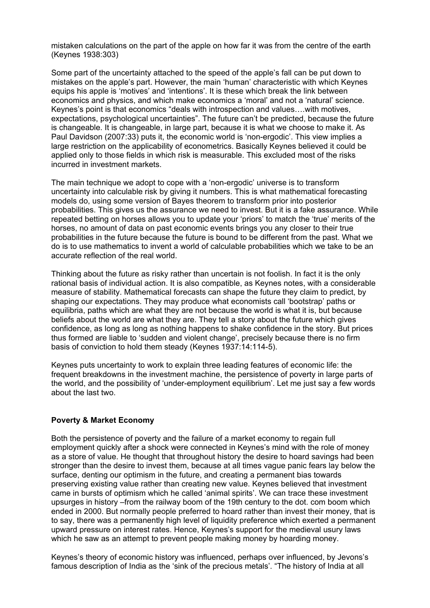mistaken calculations on the part of the apple on how far it was from the centre of the earth (Keynes 1938:303)

Some part of the uncertainty attached to the speed of the apple's fall can be put down to mistakes on the apple's part. However, the main 'human' characteristic with which Keynes equips his apple is 'motives' and 'intentions'. It is these which break the link between economics and physics, and which make economics a 'moral' and not a 'natural' science. Keynes's point is that economics "deals with introspection and values….with motives, expectations, psychological uncertainties". The future can't be predicted, because the future is changeable. It is changeable, in large part, because it is what we choose to make it. As Paul Davidson (2007:33) puts it, the economic world is 'non-ergodic'. This view implies a large restriction on the applicability of econometrics. Basically Keynes believed it could be applied only to those fields in which risk is measurable. This excluded most of the risks incurred in investment markets.

The main technique we adopt to cope with a 'non-ergodic' universe is to transform uncertainty into calculable risk by giving it numbers. This is what mathematical forecasting models do, using some version of Bayes theorem to transform prior into posterior probabilities. This gives us the assurance we need to invest. But it is a fake assurance. While repeated betting on horses allows you to update your 'priors' to match the 'true' merits of the horses, no amount of data on past economic events brings you any closer to their true probabilities in the future because the future is bound to be different from the past. What we do is to use mathematics to invent a world of calculable probabilities which we take to be an accurate reflection of the real world.

Thinking about the future as risky rather than uncertain is not foolish. In fact it is the only rational basis of individual action. It is also compatible, as Keynes notes, with a considerable measure of stability. Mathematical forecasts can shape the future they claim to predict, by shaping our expectations. They may produce what economists call 'bootstrap' paths or equilibria, paths which are what they are not because the world is what it is, but because beliefs about the world are what they are. They tell a story about the future which gives confidence, as long as long as nothing happens to shake confidence in the story. But prices thus formed are liable to 'sudden and violent change', precisely because there is no firm basis of conviction to hold them steady (Keynes 1937:14:114-5).

Keynes puts uncertainty to work to explain three leading features of economic life: the frequent breakdowns in the investment machine, the persistence of poverty in large parts of the world, and the possibility of 'under-employment equilibrium'. Let me just say a few words about the last two.

## **Poverty & Market Economy**

Both the persistence of poverty and the failure of a market economy to regain full employment quickly after a shock were connected in Keynes's mind with the role of money as a store of value. He thought that throughout history the desire to hoard savings had been stronger than the desire to invest them, because at all times vague panic fears lay below the surface, denting our optimism in the future, and creating a permanent bias towards preserving existing value rather than creating new value. Keynes believed that investment came in bursts of optimism which he called 'animal spirits'. We can trace these investment upsurges in history –from the railway boom of the 19th century to the dot. com boom which ended in 2000. But normally people preferred to hoard rather than invest their money, that is to say, there was a permanently high level of liquidity preference which exerted a permanent upward pressure on interest rates. Hence, Keynes's support for the medieval usury laws which he saw as an attempt to prevent people making money by hoarding money.

Keynes's theory of economic history was influenced, perhaps over influenced, by Jevons's famous description of India as the 'sink of the precious metals'. "The history of India at all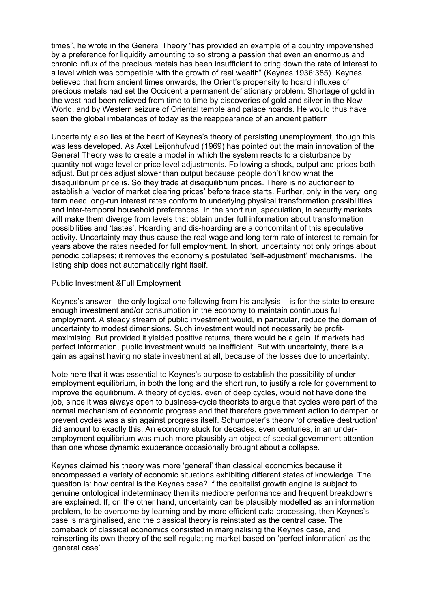times", he wrote in the General Theory "has provided an example of a country impoverished by a preference for liquidity amounting to so strong a passion that even an enormous and chronic influx of the precious metals has been insufficient to bring down the rate of interest to a level which was compatible with the growth of real wealth" (Keynes 1936:385). Keynes believed that from ancient times onwards, the Orient's propensity to hoard influxes of precious metals had set the Occident a permanent deflationary problem. Shortage of gold in the west had been relieved from time to time by discoveries of gold and silver in the New World, and by Western seizure of Oriental temple and palace hoards. He would thus have seen the global imbalances of today as the reappearance of an ancient pattern.

Uncertainty also lies at the heart of Keynes's theory of persisting unemployment, though this was less developed. As Axel Leijonhufvud (1969) has pointed out the main innovation of the General Theory was to create a model in which the system reacts to a disturbance by quantity not wage level or price level adjustments. Following a shock, output and prices both adjust. But prices adjust slower than output because people don't know what the disequilibrium price is. So they trade at disequilibrium prices. There is no auctioneer to establish a 'vector of market clearing prices' before trade starts. Further, only in the very long term need long-run interest rates conform to underlying physical transformation possibilities and inter-temporal household preferences. In the short run, speculation, in security markets will make them diverge from levels that obtain under full information about transformation possibilities and 'tastes'. Hoarding and dis-hoarding are a concomitant of this speculative activity. Uncertainty may thus cause the real wage and long term rate of interest to remain for years above the rates needed for full employment. In short, uncertainty not only brings about periodic collapses; it removes the economy's postulated 'self-adjustment' mechanisms. The listing ship does not automatically right itself.

#### Public Investment &Full Employment

Keynes's answer –the only logical one following from his analysis – is for the state to ensure enough investment and/or consumption in the economy to maintain continuous full employment. A steady stream of public investment would, in particular, reduce the domain of uncertainty to modest dimensions. Such investment would not necessarily be profitmaximising. But provided it yielded positive returns, there would be a gain. If markets had perfect information, public investment would be inefficient. But with uncertainty, there is a gain as against having no state investment at all, because of the losses due to uncertainty.

Note here that it was essential to Keynes's purpose to establish the possibility of underemployment equilibrium, in both the long and the short run, to justify a role for government to improve the equilibrium. A theory of cycles, even of deep cycles, would not have done the job, since it was always open to business-cycle theorists to argue that cycles were part of the normal mechanism of economic progress and that therefore government action to dampen or prevent cycles was a sin against progress itself. Schumpeter's theory 'of creative destruction' did amount to exactly this. An economy stuck for decades, even centuries, in an underemployment equilibrium was much more plausibly an object of special government attention than one whose dynamic exuberance occasionally brought about a collapse.

Keynes claimed his theory was more 'general' than classical economics because it encompassed a variety of economic situations exhibiting different states of knowledge. The question is: how central is the Keynes case? If the capitalist growth engine is subject to genuine ontological indeterminacy then its mediocre performance and frequent breakdowns are explained. If, on the other hand, uncertainty can be plausibly modelled as an information problem, to be overcome by learning and by more efficient data processing, then Keynes's case is marginalised, and the classical theory is reinstated as the central case. The comeback of classical economics consisted in marginalising the Keynes case, and reinserting its own theory of the self-regulating market based on 'perfect information' as the 'general case'.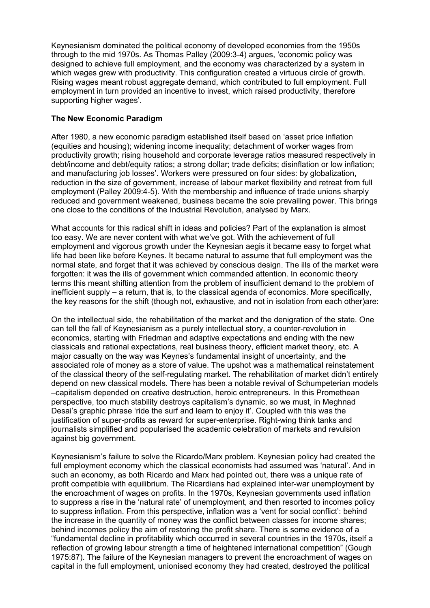Keynesianism dominated the political economy of developed economies from the 1950s through to the mid 1970s. As Thomas Palley (2009:3-4) argues, 'economic policy was designed to achieve full employment, and the economy was characterized by a system in which wages grew with productivity. This configuration created a virtuous circle of growth. Rising wages meant robust aggregate demand, which contributed to full employment. Full employment in turn provided an incentive to invest, which raised productivity, therefore supporting higher wages'.

# **The New Economic Paradigm**

After 1980, a new economic paradigm established itself based on 'asset price inflation (equities and housing); widening income inequality; detachment of worker wages from productivity growth; rising household and corporate leverage ratios measured respectively in debt/income and debt/equity ratios; a strong dollar; trade deficits; disinflation or low inflation; and manufacturing job losses'. Workers were pressured on four sides: by globalization, reduction in the size of government, increase of labour market flexibility and retreat from full employment (Palley 2009:4-5). With the membership and influence of trade unions sharply reduced and government weakened, business became the sole prevailing power. This brings one close to the conditions of the Industrial Revolution, analysed by Marx.

What accounts for this radical shift in ideas and policies? Part of the explanation is almost too easy. We are never content with what we've got. With the achievement of full employment and vigorous growth under the Keynesian aegis it became easy to forget what life had been like before Keynes. It became natural to assume that full employment was the normal state, and forget that it was achieved by conscious design. The ills of the market were forgotten: it was the ills of government which commanded attention. In economic theory terms this meant shifting attention from the problem of insufficient demand to the problem of inefficient supply – a return, that is, to the classical agenda of economics. More specifically, the key reasons for the shift (though not, exhaustive, and not in isolation from each other)are:

On the intellectual side, the rehabilitation of the market and the denigration of the state. One can tell the fall of Keynesianism as a purely intellectual story, a counter-revolution in economics, starting with Friedman and adaptive expectations and ending with the new classicals and rational expectations, real business theory, efficient market theory, etc. A major casualty on the way was Keynes's fundamental insight of uncertainty, and the associated role of money as a store of value. The upshot was a mathematical reinstatement of the classical theory of the self-regulating market. The rehabilitation of market didn't entirely depend on new classical models. There has been a notable revival of Schumpeterian models –capitalism depended on creative destruction, heroic entrepreneurs. In this Promethean perspective, too much stability destroys capitalism's dynamic, so we must, in Meghnad Desai's graphic phrase 'ride the surf and learn to enjoy it'. Coupled with this was the justification of super-profits as reward for super-enterprise. Right-wing think tanks and journalists simplified and popularised the academic celebration of markets and revulsion against big government.

Keynesianism's failure to solve the Ricardo/Marx problem. Keynesian policy had created the full employment economy which the classical economists had assumed was 'natural'. And in such an economy, as both Ricardo and Marx had pointed out, there was a unique rate of profit compatible with equilibrium. The Ricardians had explained inter-war unemployment by the encroachment of wages on profits. In the 1970s, Keynesian governments used inflation to suppress a rise in the 'natural rate' of unemployment, and then resorted to incomes policy to suppress inflation. From this perspective, inflation was a 'vent for social conflict': behind the increase in the quantity of money was the conflict between classes for income shares; behind incomes policy the aim of restoring the profit share. There is some evidence of a "fundamental decline in profitability which occurred in several countries in the 1970s, itself a reflection of growing labour strength a time of heightened international competition" (Gough 1975:87). The failure of the Keynesian managers to prevent the encroachment of wages on capital in the full employment, unionised economy they had created, destroyed the political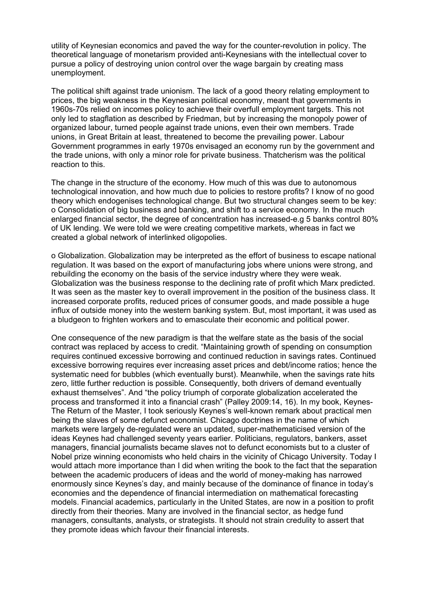utility of Keynesian economics and paved the way for the counter-revolution in policy. The theoretical language of monetarism provided anti-Keynesians with the intellectual cover to pursue a policy of destroying union control over the wage bargain by creating mass unemployment.

The political shift against trade unionism. The lack of a good theory relating employment to prices, the big weakness in the Keynesian political economy, meant that governments in 1960s-70s relied on incomes policy to achieve their overfull employment targets. This not only led to stagflation as described by Friedman, but by increasing the monopoly power of organized labour, turned people against trade unions, even their own members. Trade unions, in Great Britain at least, threatened to become the prevailing power. Labour Government programmes in early 1970s envisaged an economy run by the government and the trade unions, with only a minor role for private business. Thatcherism was the political reaction to this.

The change in the structure of the economy. How much of this was due to autonomous technological innovation, and how much due to policies to restore profits? I know of no good theory which endogenises technological change. But two structural changes seem to be key: o Consolidation of big business and banking, and shift to a service economy. In the much enlarged financial sector, the degree of concentration has increased-e.g 5 banks control 80% of UK lending. We were told we were creating competitive markets, whereas in fact we created a global network of interlinked oligopolies.

o Globalization. Globalization may be interpreted as the effort of business to escape national regulation. It was based on the export of manufacturing jobs where unions were strong, and rebuilding the economy on the basis of the service industry where they were weak. Globalization was the business response to the declining rate of profit which Marx predicted. It was seen as the master key to overall improvement in the position of the business class. It increased corporate profits, reduced prices of consumer goods, and made possible a huge influx of outside money into the western banking system. But, most important, it was used as a bludgeon to frighten workers and to emasculate their economic and political power.

One consequence of the new paradigm is that the welfare state as the basis of the social contract was replaced by access to credit. "Maintaining growth of spending on consumption requires continued excessive borrowing and continued reduction in savings rates. Continued excessive borrowing requires ever increasing asset prices and debt/income ratios; hence the systematic need for bubbles (which eventually burst). Meanwhile, when the savings rate hits zero, little further reduction is possible. Consequently, both drivers of demand eventually exhaust themselves". And "the policy triumph of corporate globalization accelerated the process and transformed it into a financial crash" (Palley 2009:14, 16). In my book, Keynes-The Return of the Master, I took seriously Keynes's well-known remark about practical men being the slaves of some defunct economist. Chicago doctrines in the name of which markets were largely de-regulated were an updated, super-mathematicised version of the ideas Keynes had challenged seventy years earlier. Politicians, regulators, bankers, asset managers, financial journalists became slaves not to defunct economists but to a cluster of Nobel prize winning economists who held chairs in the vicinity of Chicago University. Today I would attach more importance than I did when writing the book to the fact that the separation between the academic producers of ideas and the world of money-making has narrowed enormously since Keynes's day, and mainly because of the dominance of finance in today's economies and the dependence of financial intermediation on mathematical forecasting models. Financial academics, particularly in the United States, are now in a position to profit directly from their theories. Many are involved in the financial sector, as hedge fund managers, consultants, analysts, or strategists. It should not strain credulity to assert that they promote ideas which favour their financial interests.